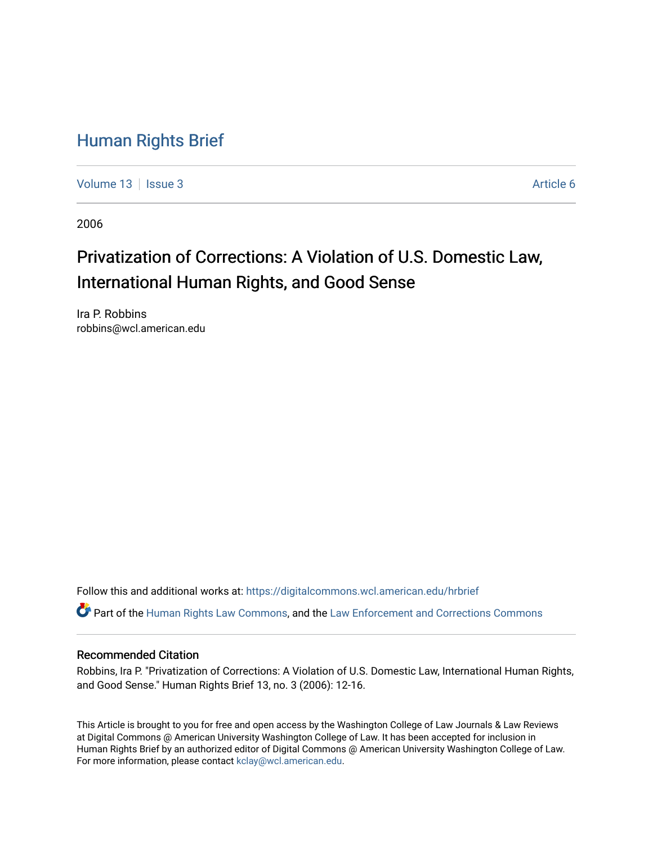### [Human Rights Brief](https://digitalcommons.wcl.american.edu/hrbrief)

[Volume 13](https://digitalcommons.wcl.american.edu/hrbrief/vol13) | [Issue 3](https://digitalcommons.wcl.american.edu/hrbrief/vol13/iss3) Article 6

2006

## Privatization of Corrections: A Violation of U.S. Domestic Law, International Human Rights, and Good Sense

Ira P. Robbins robbins@wcl.american.edu

Follow this and additional works at: [https://digitalcommons.wcl.american.edu/hrbrief](https://digitalcommons.wcl.american.edu/hrbrief?utm_source=digitalcommons.wcl.american.edu%2Fhrbrief%2Fvol13%2Fiss3%2F6&utm_medium=PDF&utm_campaign=PDFCoverPages) 

Part of the [Human Rights Law Commons,](http://network.bepress.com/hgg/discipline/847?utm_source=digitalcommons.wcl.american.edu%2Fhrbrief%2Fvol13%2Fiss3%2F6&utm_medium=PDF&utm_campaign=PDFCoverPages) and the [Law Enforcement and Corrections Commons](http://network.bepress.com/hgg/discipline/854?utm_source=digitalcommons.wcl.american.edu%2Fhrbrief%2Fvol13%2Fiss3%2F6&utm_medium=PDF&utm_campaign=PDFCoverPages)

#### Recommended Citation

Robbins, Ira P. "Privatization of Corrections: A Violation of U.S. Domestic Law, International Human Rights, and Good Sense." Human Rights Brief 13, no. 3 (2006): 12-16.

This Article is brought to you for free and open access by the Washington College of Law Journals & Law Reviews at Digital Commons @ American University Washington College of Law. It has been accepted for inclusion in Human Rights Brief by an authorized editor of Digital Commons @ American University Washington College of Law. For more information, please contact [kclay@wcl.american.edu.](mailto:kclay@wcl.american.edu)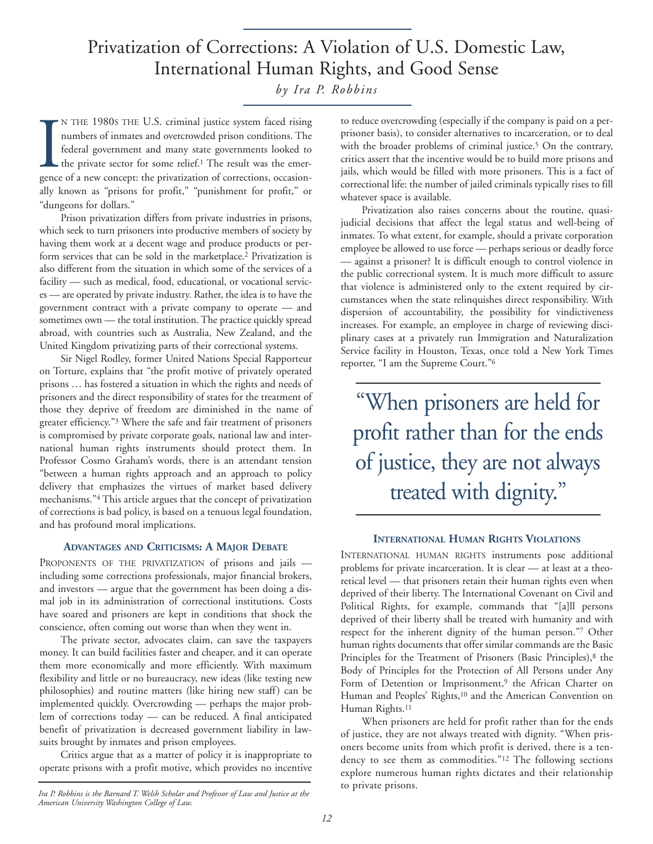# Privatization of Corrections: A Violation of U.S. Domestic Law, International Human Rights, and Good Sense

*by Ira P. Robbins*

N THE 1980S THE U.S. criminal justice system faced rising<br>numbers of inmates and overcrowded prison conditions. The<br>federal government and many state governments looked to<br>the private sector for some relief.<sup>1</sup> The result N THE 1980s THE U.S. criminal justice system faced rising numbers of inmates and overcrowded prison conditions. The federal government and many state governments looked to the private sector for some relief.<sup>1</sup> The result was the emerally known as "prisons for profit," "punishment for profit," or "dungeons for dollars."

Prison privatization differs from private industries in prisons, which seek to turn prisoners into productive members of society by having them work at a decent wage and produce products or perform services that can be sold in the marketplace.2 Privatization is also different from the situation in which some of the services of a facility — such as medical, food, educational, or vocational services — are operated by private industry. Rather, the idea is to have the government contract with a private company to operate — and sometimes own — the total institution. The practice quickly spread abroad, with countries such as Australia, New Zealand, and the United Kingdom privatizing parts of their correctional systems.

Sir Nigel Rodley, former United Nations Special Rapporteur on Torture, explains that "the profit motive of privately operated prisons … has fostered a situation in which the rights and needs of prisoners and the direct responsibility of states for the treatment of those they deprive of freedom are diminished in the name of greater efficiency."3 Where the safe and fair treatment of prisoners is compromised by private corporate goals, national law and international human rights instruments should protect them. In Professor Cosmo Graham's words, there is an attendant tension "between a human rights approach and an approach to policy delivery that emphasizes the virtues of market based delivery mechanisms."4 This article argues that the concept of privatization of corrections is bad policy, is based on a tenuous legal foundation, and has profound moral implications.

#### **ADVANTAGES AND CRITICISMS: A MAJOR DEBATE**

PROPONENTS OF THE PRIVATIZATION of prisons and jails including some corrections professionals, major financial brokers, and investors — argue that the government has been doing a dismal job in its administration of correctional institutions. Costs have soared and prisoners are kept in conditions that shock the conscience, often coming out worse than when they went in.

The private sector, advocates claim, can save the taxpayers money. It can build facilities faster and cheaper, and it can operate them more economically and more efficiently. With maximum flexibility and little or no bureaucracy, new ideas (like testing new philosophies) and routine matters (like hiring new staff) can be implemented quickly. Overcrowding — perhaps the major problem of corrections today — can be reduced. A final anticipated benefit of privatization is decreased government liability in lawsuits brought by inmates and prison employees.

Critics argue that as a matter of policy it is inappropriate to operate prisons with a profit motive, which provides no incentive

*Ira P. Robbins is the Barnard T. Welsh Scholar and Professor of Law and Justice at the American University Washington College of Law.* 

to reduce overcrowding (especially if the company is paid on a perprisoner basis), to consider alternatives to incarceration, or to deal with the broader problems of criminal justice.<sup>5</sup> On the contrary, critics assert that the incentive would be to build more prisons and jails, which would be filled with more prisoners. This is a fact of correctional life: the number of jailed criminals typically rises to fill whatever space is available.

Privatization also raises concerns about the routine, quasijudicial decisions that affect the legal status and well-being of inmates. To what extent, for example, should a private corporation employee be allowed to use force — perhaps serious or deadly force — against a prisoner? It is difficult enough to control violence in the public correctional system. It is much more difficult to assure that violence is administered only to the extent required by circumstances when the state relinquishes direct responsibility. With dispersion of accountability, the possibility for vindictiveness increases. For example, an employee in charge of reviewing disciplinary cases at a privately run Immigration and Naturalization Service facility in Houston, Texas, once told a New York Times reporter, "I am the Supreme Court."6

"When prisoners are held for profit rather than for the ends of justice, they are not always treated with dignity."

#### **INTERNATIONAL HUMAN RIGHTS VIOLATIONS**

INTERNATIONAL HUMAN RIGHTS instruments pose additional problems for private incarceration. It is clear — at least at a theoretical level — that prisoners retain their human rights even when deprived of their liberty. The International Covenant on Civil and Political Rights, for example, commands that "[a]ll persons deprived of their liberty shall be treated with humanity and with respect for the inherent dignity of the human person."7 Other human rights documents that offer similar commands are the Basic Principles for the Treatment of Prisoners (Basic Principles),<sup>8</sup> the Body of Principles for the Protection of All Persons under Any Form of Detention or Imprisonment,<sup>9</sup> the African Charter on Human and Peoples' Rights,<sup>10</sup> and the American Convention on Human Rights.11

When prisoners are held for profit rather than for the ends of justice, they are not always treated with dignity. "When prisoners become units from which profit is derived, there is a tendency to see them as commodities."12 The following sections explore numerous human rights dictates and their relationship to private prisons.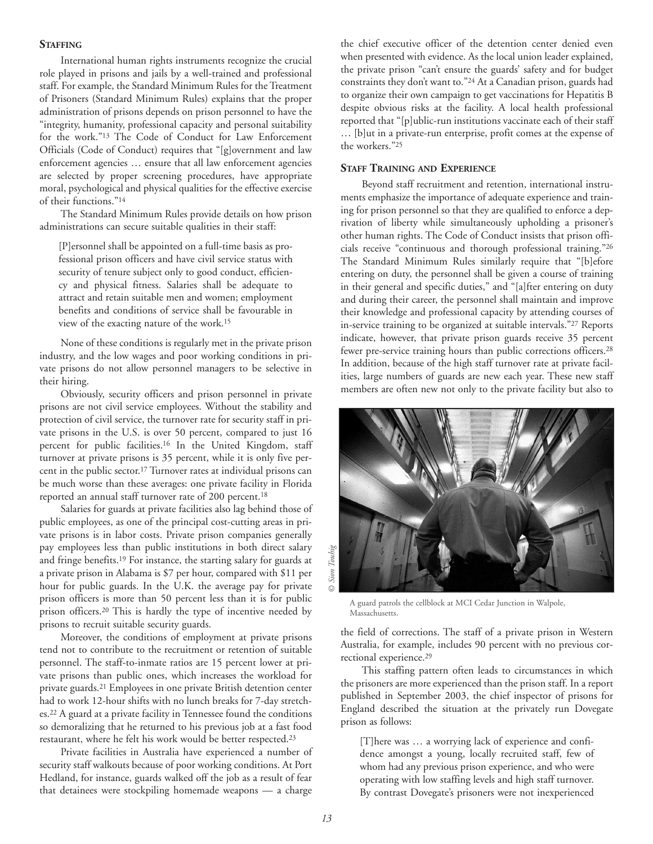#### **STAFFING**

International human rights instruments recognize the crucial role played in prisons and jails by a well-trained and professional staff. For example, the Standard Minimum Rules for the Treatment of Prisoners (Standard Minimum Rules) explains that the proper administration of prisons depends on prison personnel to have the "integrity, humanity, professional capacity and personal suitability for the work."13 The Code of Conduct for Law Enforcement Officials (Code of Conduct) requires that "[g]overnment and law enforcement agencies … ensure that all law enforcement agencies are selected by proper screening procedures, have appropriate moral, psychological and physical qualities for the effective exercise of their functions."14

The Standard Minimum Rules provide details on how prison administrations can secure suitable qualities in their staff:

[P]ersonnel shall be appointed on a full-time basis as professional prison officers and have civil service status with security of tenure subject only to good conduct, efficiency and physical fitness. Salaries shall be adequate to attract and retain suitable men and women; employment benefits and conditions of service shall be favourable in view of the exacting nature of the work.15

None of these conditions is regularly met in the private prison industry, and the low wages and poor working conditions in private prisons do not allow personnel managers to be selective in their hiring.

Obviously, security officers and prison personnel in private prisons are not civil service employees. Without the stability and protection of civil service, the turnover rate for security staff in private prisons in the U.S. is over 50 percent, compared to just 16 percent for public facilities.16 In the United Kingdom, staff turnover at private prisons is 35 percent, while it is only five percent in the public sector.17 Turnover rates at individual prisons can be much worse than these averages: one private facility in Florida reported an annual staff turnover rate of 200 percent.18

Salaries for guards at private facilities also lag behind those of public employees, as one of the principal cost-cutting areas in private prisons is in labor costs. Private prison companies generally pay employees less than public institutions in both direct salary and fringe benefits.19 For instance, the starting salary for guards at a private prison in Alabama is \$7 per hour, compared with \$11 per hour for public guards. In the U.K. the average pay for private prison officers is more than 50 percent less than it is for public prison officers.20 This is hardly the type of incentive needed by prisons to recruit suitable security guards.

Moreover, the conditions of employment at private prisons tend not to contribute to the recruitment or retention of suitable personnel. The staff-to-inmate ratios are 15 percent lower at private prisons than public ones, which increases the workload for private guards.21 Employees in one private British detention center had to work 12-hour shifts with no lunch breaks for 7-day stretches.22 A guard at a private facility in Tennessee found the conditions so demoralizing that he returned to his previous job at a fast food restaurant, where he felt his work would be better respected.23

Private facilities in Australia have experienced a number of security staff walkouts because of poor working conditions. At Port Hedland, for instance, guards walked off the job as a result of fear that detainees were stockpiling homemade weapons — a charge

the chief executive officer of the detention center denied even when presented with evidence. As the local union leader explained, the private prison "can't ensure the guards' safety and for budget constraints they don't want to."24 At a Canadian prison, guards had to organize their own campaign to get vaccinations for Hepatitis B despite obvious risks at the facility. A local health professional reported that "[p]ublic-run institutions vaccinate each of their staff … [b]ut in a private-run enterprise, profit comes at the expense of the workers."25

#### **STAFF TRAINING AND EXPERIENCE**

Beyond staff recruitment and retention, international instruments emphasize the importance of adequate experience and training for prison personnel so that they are qualified to enforce a deprivation of liberty while simultaneously upholding a prisoner's other human rights. The Code of Conduct insists that prison officials receive "continuous and thorough professional training."26 The Standard Minimum Rules similarly require that "[b]efore entering on duty, the personnel shall be given a course of training in their general and specific duties," and "[a]fter entering on duty and during their career, the personnel shall maintain and improve their knowledge and professional capacity by attending courses of in-service training to be organized at suitable intervals."27 Reports indicate, however, that private prison guards receive 35 percent fewer pre-service training hours than public corrections officers.<sup>28</sup> In addition, because of the high staff turnover rate at private facilities, large numbers of guards are new each year. These new staff members are often new not only to the private facility but also to



A guard patrols the cellblock at MCI Cedar Junction in Walpole, Massachusetts.

the field of corrections. The staff of a private prison in Western Australia, for example, includes 90 percent with no previous correctional experience.29

This staffing pattern often leads to circumstances in which the prisoners are more experienced than the prison staff. In a report published in September 2003, the chief inspector of prisons for England described the situation at the privately run Dovegate prison as follows:

[T]here was … a worrying lack of experience and confidence amongst a young, locally recruited staff, few of whom had any previous prison experience, and who were operating with low staffing levels and high staff turnover. By contrast Dovegate's prisoners were not inexperienced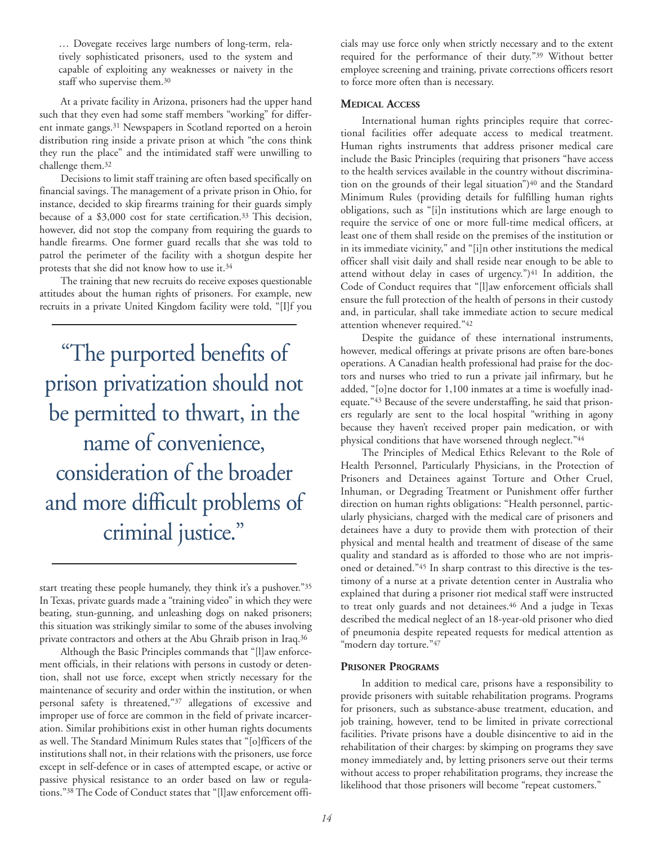… Dovegate receives large numbers of long-term, relatively sophisticated prisoners, used to the system and capable of exploiting any weaknesses or naivety in the staff who supervise them.30

At a private facility in Arizona, prisoners had the upper hand such that they even had some staff members "working" for different inmate gangs.31 Newspapers in Scotland reported on a heroin distribution ring inside a private prison at which "the cons think they run the place" and the intimidated staff were unwilling to challenge them.32

Decisions to limit staff training are often based specifically on financial savings. The management of a private prison in Ohio, for instance, decided to skip firearms training for their guards simply because of a \$3,000 cost for state certification.<sup>33</sup> This decision, however, did not stop the company from requiring the guards to handle firearms. One former guard recalls that she was told to patrol the perimeter of the facility with a shotgun despite her protests that she did not know how to use it.34

The training that new recruits do receive exposes questionable attitudes about the human rights of prisoners. For example, new recruits in a private United Kingdom facility were told, "[I]f you

"The purported benefits of prison privatization should not be permitted to thwart, in the name of convenience, consideration of the broader and more difficult problems of criminal justice."

start treating these people humanely, they think it's a pushover."35 In Texas, private guards made a "training video" in which they were beating, stun-gunning, and unleashing dogs on naked prisoners; this situation was strikingly similar to some of the abuses involving private contractors and others at the Abu Ghraib prison in Iraq.36

Although the Basic Principles commands that "[l]aw enforcement officials, in their relations with persons in custody or detention, shall not use force, except when strictly necessary for the maintenance of security and order within the institution, or when personal safety is threatened,"37 allegations of excessive and improper use of force are common in the field of private incarceration. Similar prohibitions exist in other human rights documents as well. The Standard Minimum Rules states that "[o]fficers of the institutions shall not, in their relations with the prisoners, use force except in self-defence or in cases of attempted escape, or active or passive physical resistance to an order based on law or regulations."38 The Code of Conduct states that "[l]aw enforcement officials may use force only when strictly necessary and to the extent required for the performance of their duty."39 Without better employee screening and training, private corrections officers resort to force more often than is necessary.

#### **MEDICAL ACCESS**

International human rights principles require that correctional facilities offer adequate access to medical treatment. Human rights instruments that address prisoner medical care include the Basic Principles (requiring that prisoners "have access to the health services available in the country without discrimination on the grounds of their legal situation")<sup>40</sup> and the Standard Minimum Rules (providing details for fulfilling human rights obligations, such as "[i]n institutions which are large enough to require the service of one or more full-time medical officers, at least one of them shall reside on the premises of the institution or in its immediate vicinity," and "[i]n other institutions the medical officer shall visit daily and shall reside near enough to be able to attend without delay in cases of urgency.")<sup>41</sup> In addition, the Code of Conduct requires that "[l]aw enforcement officials shall ensure the full protection of the health of persons in their custody and, in particular, shall take immediate action to secure medical attention whenever required."42

Despite the guidance of these international instruments, however, medical offerings at private prisons are often bare-bones operations. A Canadian health professional had praise for the doctors and nurses who tried to run a private jail infirmary, but he added, "[o]ne doctor for 1,100 inmates at a time is woefully inadequate."43 Because of the severe understaffing, he said that prisoners regularly are sent to the local hospital "writhing in agony because they haven't received proper pain medication, or with physical conditions that have worsened through neglect."44

The Principles of Medical Ethics Relevant to the Role of Health Personnel, Particularly Physicians, in the Protection of Prisoners and Detainees against Torture and Other Cruel, Inhuman, or Degrading Treatment or Punishment offer further direction on human rights obligations: "Health personnel, particularly physicians, charged with the medical care of prisoners and detainees have a duty to provide them with protection of their physical and mental health and treatment of disease of the same quality and standard as is afforded to those who are not imprisoned or detained."45 In sharp contrast to this directive is the testimony of a nurse at a private detention center in Australia who explained that during a prisoner riot medical staff were instructed to treat only guards and not detainees.<sup>46</sup> And a judge in Texas described the medical neglect of an 18-year-old prisoner who died of pneumonia despite repeated requests for medical attention as "modern day torture."47

#### **PRISONER PROGRAMS**

In addition to medical care, prisons have a responsibility to provide prisoners with suitable rehabilitation programs. Programs for prisoners, such as substance-abuse treatment, education, and job training, however, tend to be limited in private correctional facilities. Private prisons have a double disincentive to aid in the rehabilitation of their charges: by skimping on programs they save money immediately and, by letting prisoners serve out their terms without access to proper rehabilitation programs, they increase the likelihood that those prisoners will become "repeat customers."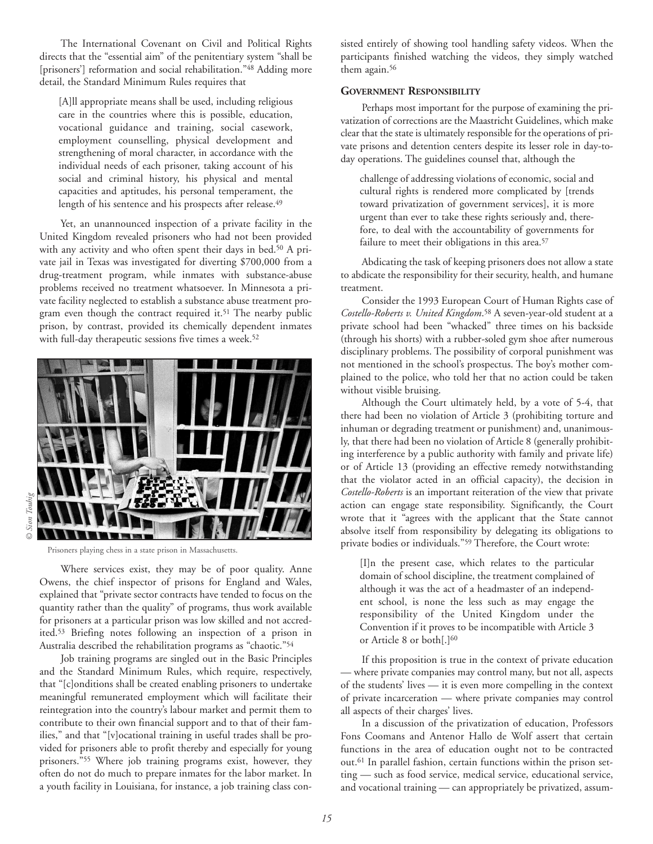The International Covenant on Civil and Political Rights directs that the "essential aim" of the penitentiary system "shall be [prisoners'] reformation and social rehabilitation."<sup>48</sup> Adding more detail, the Standard Minimum Rules requires that

[A]ll appropriate means shall be used, including religious care in the countries where this is possible, education, vocational guidance and training, social casework, employment counselling, physical development and strengthening of moral character, in accordance with the individual needs of each prisoner, taking account of his social and criminal history, his physical and mental capacities and aptitudes, his personal temperament, the length of his sentence and his prospects after release.<sup>49</sup>

Yet, an unannounced inspection of a private facility in the United Kingdom revealed prisoners who had not been provided with any activity and who often spent their days in bed.50 A private jail in Texas was investigated for diverting \$700,000 from a drug-treatment program, while inmates with substance-abuse problems received no treatment whatsoever. In Minnesota a private facility neglected to establish a substance abuse treatment program even though the contract required it.<sup>51</sup> The nearby public prison, by contrast, provided its chemically dependent inmates with full-day therapeutic sessions five times a week.<sup>52</sup>



Prisoners playing chess in a state prison in Massachusetts.

Where services exist, they may be of poor quality. Anne Owens, the chief inspector of prisons for England and Wales, explained that "private sector contracts have tended to focus on the quantity rather than the quality" of programs, thus work available for prisoners at a particular prison was low skilled and not accredited.53 Briefing notes following an inspection of a prison in Australia described the rehabilitation programs as "chaotic."54

Job training programs are singled out in the Basic Principles and the Standard Minimum Rules, which require, respectively, that "[c]onditions shall be created enabling prisoners to undertake meaningful remunerated employment which will facilitate their reintegration into the country's labour market and permit them to contribute to their own financial support and to that of their families," and that "[v]ocational training in useful trades shall be provided for prisoners able to profit thereby and especially for young prisoners."55 Where job training programs exist, however, they often do not do much to prepare inmates for the labor market. In a youth facility in Louisiana, for instance, a job training class consisted entirely of showing tool handling safety videos. When the participants finished watching the videos, they simply watched them again.<sup>56</sup>

#### **GOVERNMENT RESPONSIBILITY**

Perhaps most important for the purpose of examining the privatization of corrections are the Maastricht Guidelines, which make clear that the state is ultimately responsible for the operations of private prisons and detention centers despite its lesser role in day-today operations. The guidelines counsel that, although the

challenge of addressing violations of economic, social and cultural rights is rendered more complicated by [trends toward privatization of government services], it is more urgent than ever to take these rights seriously and, therefore, to deal with the accountability of governments for failure to meet their obligations in this area.<sup>57</sup>

Abdicating the task of keeping prisoners does not allow a state to abdicate the responsibility for their security, health, and humane treatment.

Consider the 1993 European Court of Human Rights case of *Costello-Roberts v. United Kingdom*.58 A seven-year-old student at a private school had been "whacked" three times on his backside (through his shorts) with a rubber-soled gym shoe after numerous disciplinary problems. The possibility of corporal punishment was not mentioned in the school's prospectus. The boy's mother complained to the police, who told her that no action could be taken without visible bruising.

Although the Court ultimately held, by a vote of 5-4, that there had been no violation of Article 3 (prohibiting torture and inhuman or degrading treatment or punishment) and, unanimously, that there had been no violation of Article 8 (generally prohibiting interference by a public authority with family and private life) or of Article 13 (providing an effective remedy notwithstanding that the violator acted in an official capacity), the decision in *Costello-Roberts* is an important reiteration of the view that private action can engage state responsibility. Significantly, the Court wrote that it "agrees with the applicant that the State cannot absolve itself from responsibility by delegating its obligations to private bodies or individuals."59 Therefore, the Court wrote:

[I]n the present case, which relates to the particular domain of school discipline, the treatment complained of although it was the act of a headmaster of an independent school, is none the less such as may engage the responsibility of the United Kingdom under the Convention if it proves to be incompatible with Article 3 or Article 8 or both[.]60

If this proposition is true in the context of private education — where private companies may control many, but not all, aspects of the students' lives — it is even more compelling in the context of private incarceration — where private companies may control all aspects of their charges' lives.

In a discussion of the privatization of education, Professors Fons Coomans and Antenor Hallo de Wolf assert that certain functions in the area of education ought not to be contracted out.61 In parallel fashion, certain functions within the prison setting — such as food service, medical service, educational service, and vocational training — can appropriately be privatized, assum